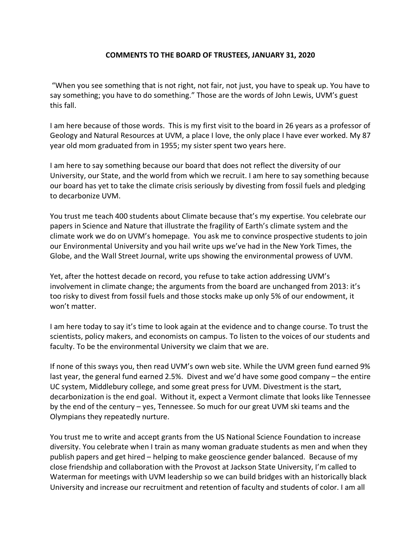## **COMMENTS TO THE BOARD OF TRUSTEES, JANUARY 31, 2020**

"When you see something that is not right, not fair, not just, you have to speak up. You have to say something; you have to do something." Those are the words of John Lewis, UVM's guest this fall.

I am here because of those words. This is my first visit to the board in 26 years as a professor of Geology and Natural Resources at UVM, a place I love, the only place I have ever worked. My 87 year old mom graduated from in 1955; my sister spent two years here.

I am here to say something because our board that does not reflect the diversity of our University, our State, and the world from which we recruit. I am here to say something because our board has yet to take the climate crisis seriously by divesting from fossil fuels and pledging to decarbonize UVM.

You trust me teach 400 students about Climate because that's my expertise. You celebrate our papers in Science and Nature that illustrate the fragility of Earth's climate system and the climate work we do on UVM's homepage. You ask me to convince prospective students to join our Environmental University and you hail write ups we've had in the New York Times, the Globe, and the Wall Street Journal, write ups showing the environmental prowess of UVM.

Yet, after the hottest decade on record, you refuse to take action addressing UVM's involvement in climate change; the arguments from the board are unchanged from 2013: it's too risky to divest from fossil fuels and those stocks make up only 5% of our endowment, it won't matter.

I am here today to say it's time to look again at the evidence and to change course. To trust the scientists, policy makers, and economists on campus. To listen to the voices of our students and faculty. To be the environmental University we claim that we are.

If none of this sways you, then read UVM's own web site. While the UVM green fund earned 9% last year, the general fund earned 2.5%. Divest and we'd have some good company – the entire UC system, Middlebury college, and some great press for UVM. Divestment is the start, decarbonization is the end goal. Without it, expect a Vermont climate that looks like Tennessee by the end of the century – yes, Tennessee. So much for our great UVM ski teams and the Olympians they repeatedly nurture.

You trust me to write and accept grants from the US National Science Foundation to increase diversity. You celebrate when I train as many woman graduate students as men and when they publish papers and get hired – helping to make geoscience gender balanced. Because of my close friendship and collaboration with the Provost at Jackson State University, I'm called to Waterman for meetings with UVM leadership so we can build bridges with an historically black University and increase our recruitment and retention of faculty and students of color. I am all